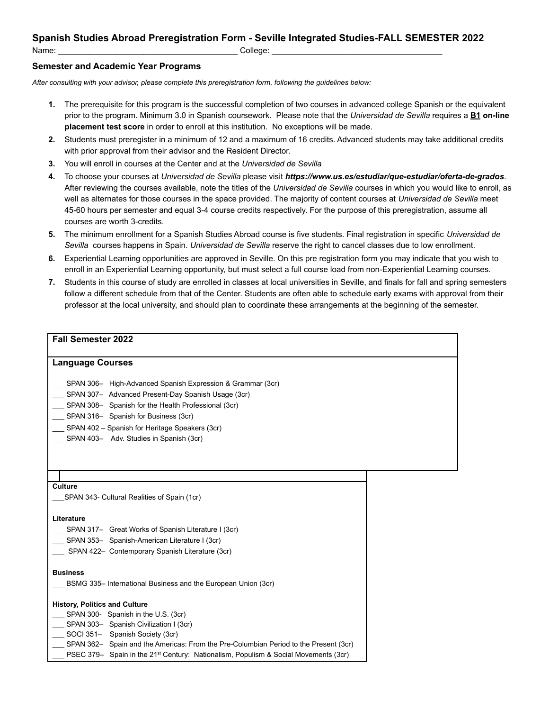# **Spanish Studies Abroad Preregistration Form - Seville Integrated Studies-FALL SEMESTER 2022**

Name: <u>and</u> and a set of the set of the set of the Solid College:

### **Semester and Academic Year Programs**

*After consulting with your advisor, please complete this preregistration form, following the guidelines below:*

- **1.** The prerequisite for this program is the successful completion of two courses in advanced college Spanish or the equivalent prior to the program. Minimum 3.0 in Spanish coursework. Please note that the *Universidad de Sevilla* requires a **B1 on-line placement test score** in order to enroll at this institution. No exceptions will be made.
- **2.** Students must preregister in a minimum of 12 and a maximum of 16 credits. Advanced students may take additional credits with prior approval from their advisor and the Resident Director.
- **3.** You will enroll in courses at the Center and at the *Universidad de Sevilla*
- **4.** To choose your courses at *Universidad de Sevilla* please visit *<https://www.us.es/estudiar/que-estudiar/oferta-de-grados>*. After reviewing the courses available, note the titles of the *Universidad de Sevilla* courses in which you would like to enroll, as well as alternates for those courses in the space provided. The majority of content courses at *Universidad de Sevilla* meet 45-60 hours per semester and equal 3-4 course credits respectively. For the purpose of this preregistration, assume all courses are worth 3-credits.
- **5.** The minimum enrollment for a Spanish Studies Abroad course is five students. Final registration in specific *Universidad de Sevilla* courses happens in Spain. *Universidad de Sevilla* reserve the right to cancel classes due to low enrollment.
- **6.** Experiential Learning opportunities are approved in Seville. On this pre registration form you may indicate that you wish to enroll in an Experiential Learning opportunity, but must select a full course load from non-Experiential Learning courses.
- **7.** Students in this course of study are enrolled in classes at local universities in Seville, and finals for fall and spring semesters follow a different schedule from that of the Center. Students are often able to schedule early exams with approval from their professor at the local university, and should plan to coordinate these arrangements at the beginning of the semester.

## **Fall Semester 2022**

# **Language Courses**

- \_\_\_ SPAN 306– High-Advanced Spanish Expression & Grammar (3cr)
- \_\_\_ SPAN 307- Advanced Present-Day Spanish Usage (3cr)
- \_\_\_ SPAN 308– Spanish for the Health Professional (3cr)
- \_\_\_ SPAN 316– Spanish for Business (3cr)
- SPAN 402 Spanish for Heritage Speakers (3cr)
- SPAN 403– Adv. Studies in Spanish (3cr)

### **Culture**

\_\_\_SPAN 343- Cultural Realities of Spain (1cr)

#### **Literature**

\_\_\_ SPAN 317– Great Works of Spanish Literature I (3cr)

- SPAN 353- Spanish-American Literature I (3cr)
- \_\_\_ SPAN 422– Contemporary Spanish Literature (3cr)

#### **Business**

\_\_\_ BSMG 335– International Business and the European Union (3cr)

### **History, Politics and Culture**

| SPAN 300- Spanish in the U.S. (3cr)                                                             |
|-------------------------------------------------------------------------------------------------|
| SPAN 303- Spanish Civilization I (3cr)                                                          |
| SOCI 351- Spanish Society (3cr)                                                                 |
| SPAN 362- Spain and the Americas: From the Pre-Columbian Period to the Present (3cr)            |
| PSEC 379- Spain in the 21 <sup>st</sup> Century: Nationalism, Populism & Social Movements (3cr) |